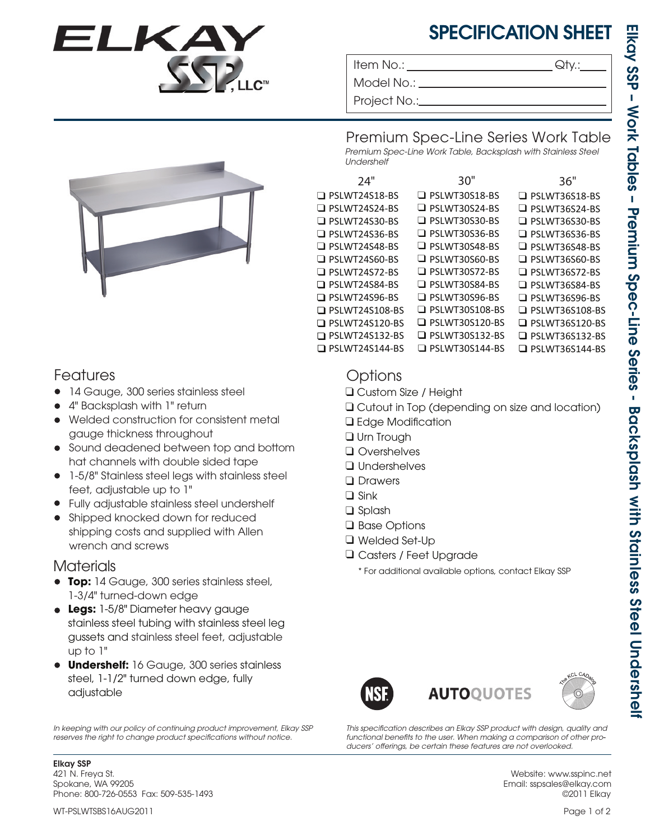

## SPECIFICATION SHEET

Item No.: Given a contract the contract of  $\mathsf{Q}$ ty.:

Model No.: \_

Project No.:

Premium Spec-Line Series Work Table *Premium Spec-Line Work Table, Backsplash with Stainless Steel Undershelf*

| 24"                   | 30"                   | 36"                   |  |  |
|-----------------------|-----------------------|-----------------------|--|--|
| $\Box$ PSLWT24S18-BS  | $\Box$ PSLWT30S18-BS  | $\Box$ PSLWT36S18-BS  |  |  |
| $\Box$ PSLWT24S24-BS  | $\Box$ PSLWT30S24-BS  | $\Box$ PSLWT36S24-BS  |  |  |
| $\Box$ PSLWT24S30-BS  | $\Box$ PSLWT30S30-BS  | $\Box$ PSLWT36S30-BS  |  |  |
| $\Box$ PSLWT24S36-BS  | $\Box$ PSLWT30S36-BS  | $\Box$ PSLWT36S36-BS  |  |  |
| $\Box$ PSLWT24S48-BS  | $\Box$ PSLWT30S48-BS  | $\Box$ PSLWT36S48-BS  |  |  |
| $\Box$ PSLWT24S60-BS  | $\Box$ PSLWT30S60-BS  | $\Box$ PSLWT36S60-BS  |  |  |
| $\Box$ PSLWT24S72-BS  | $\Box$ PSLWT30S72-BS  | $\Box$ PSLWT36S72-BS  |  |  |
| $\Box$ PSLWT24S84-BS  | $\Box$ PSLWT30S84-BS  | $\Box$ PSLWT36S84-BS  |  |  |
| $\Box$ PSLWT24S96-BS  | $\Box$ PSLWT30S96-BS  | $\Box$ PSLWT36S96-BS  |  |  |
| $\Box$ PSLWT24S108-BS | $\Box$ PSLWT30S108-BS | $\Box$ PSLWT36S108-BS |  |  |
| $\Box$ PSLWT24S120-BS | $\Box$ PSLWT30S120-BS | $\Box$ PSLWT36S120-BS |  |  |
| $\Box$ PSLWT24S132-BS | $\Box$ PSLWT30S132-BS | $\Box$ PSLWT36S132-BS |  |  |
| $\Box$ PSLWT24S144-BS | $\Box$ PSLWT30S144-BS | $\Box$ PSLWT36S144-BS |  |  |

## Features

- 14 Gauge, 300 series stainless steel
- 4" Backsplash with 1" return •
- Welded construction for consistent metal gauge thickness throughout
- Sound deadened between top and bottom hat channels with double sided tape
- 1-5/8" Stainless steel legs with stainless steel feet, adjustable up to 1"
- Fully adjustable stainless steel undershelf •
- Shipped knocked down for reduced shipping costs and supplied with Allen wrench and screws

## **Materials**

- **Top:** 14 Gauge, 300 series stainless steel, 1-3/4" turned-down edge
- **Legs:** 1-5/8" Diameter heavy gauge stainless steel tubing with stainless steel leg gussets and stainless steel feet, adjustable up to 1"
- **Undershelf:** 16 Gauge, 300 series stainless steel, 1-1/2" turned down edge, fully adjustable

*In keeping with our policy of continuing product improvement, Elkay SSP*  reserves the right to change product specifications without notice.

Elkay SSP 421 N. Freya St. Spokane, WA 99205 Phone: 800-726-0553 Fax: 509-535-1493

## **Options**

- ❑ Custom Size / Height
- ❑ Cutout in Top (depending on size and location)
- □ Edge Modification
- ❑ Urn Trough
- ❑ Overshelves
- ❑ Undershelves
- Drawers
- ❑ Sink
- ❑ Splash
- ❑ Base Options
- ❑ Welded Set-Up
- Casters / Feet Upgrade ❑
	- \* For additional available options, contact Elkay SSP







This specification describes an Elkay SSP product with design, quality and *functional benets to the user. When making a comparison of other pro-* ducers' offerings, be certain these features are not overlooked.

> Website: www.sspinc.net Email: sspsales@elkay.com ©2011 Elkay